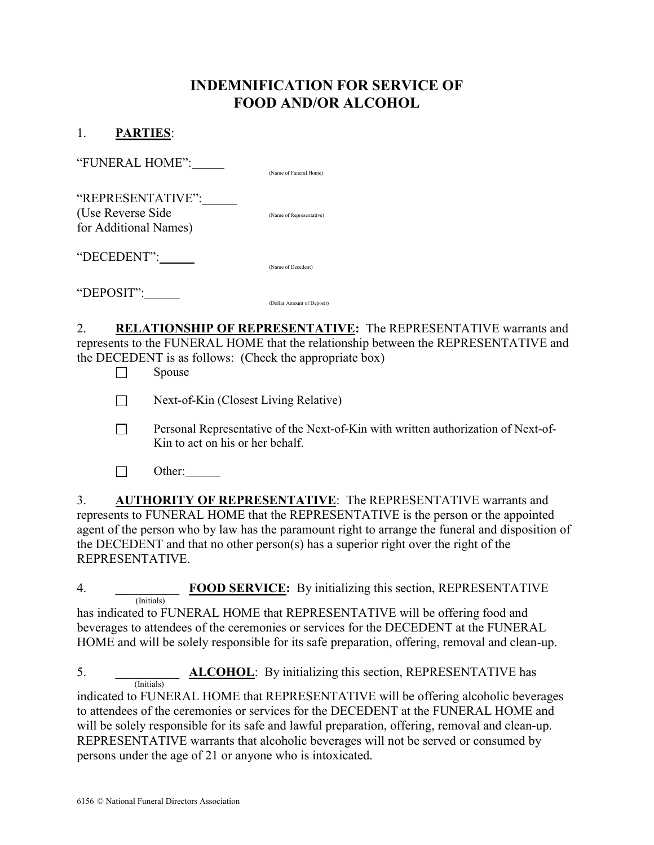## INDEMNIFICATION FOR SERVICE OF FOOD AND/OR ALCOHOL

## 1. PARTIES:

| "FUNERAL HOME":                                                 | (Name of Funeral Home)     |
|-----------------------------------------------------------------|----------------------------|
| "REPRESENTATIVE":<br>(Use Reverse Side<br>for Additional Names) | (Name of Representative)   |
| "DECEDENT":                                                     | (Name of Decedent)         |
| "DEPOSIT":                                                      | (Dollar Amount of Deposit) |

2. RELATIONSHIP OF REPRESENTATIVE: The REPRESENTATIVE warrants and represents to the FUNERAL HOME that the relationship between the REPRESENTATIVE and the DECEDENT is as follows: (Check the appropriate box)

 $\Box$  Spouse

 $\Box$  Next-of-Kin (Closest Living Relative)

- Personal Representative of the Next-of-Kin with written authorization of Next-of- Kin to act on his or her behalf.
- $\Box$  Other:

3. AUTHORITY OF REPRESENTATIVE: The REPRESENTATIVE warrants and represents to FUNERAL HOME that the REPRESENTATIVE is the person or the appointed agent of the person who by law has the paramount right to arrange the funeral and disposition of the DECEDENT and that no other person(s) has a superior right over the right of the REPRESENTATIVE.

4. **FOOD SERVICE:** By initializing this section, REPRESENTATIVE (Initials) has indicated to FUNERAL HOME that REPRESENTATIVE will be offering food and

beverages to attendees of the ceremonies or services for the DECEDENT at the FUNERAL HOME and will be solely responsible for its safe preparation, offering, removal and clean-up.

5. \_\_\_\_\_\_\_\_\_\_\_\_ **ALCOHOL**: By initializing this section, REPRESENTATIVE has (Initials)

indicated to FUNERAL HOME that REPRESENTATIVE will be offering alcoholic beverages to attendees of the ceremonies or services for the DECEDENT at the FUNERAL HOME and will be solely responsible for its safe and lawful preparation, offering, removal and clean-up. REPRESENTATIVE warrants that alcoholic beverages will not be served or consumed by persons under the age of 21 or anyone who is intoxicated.